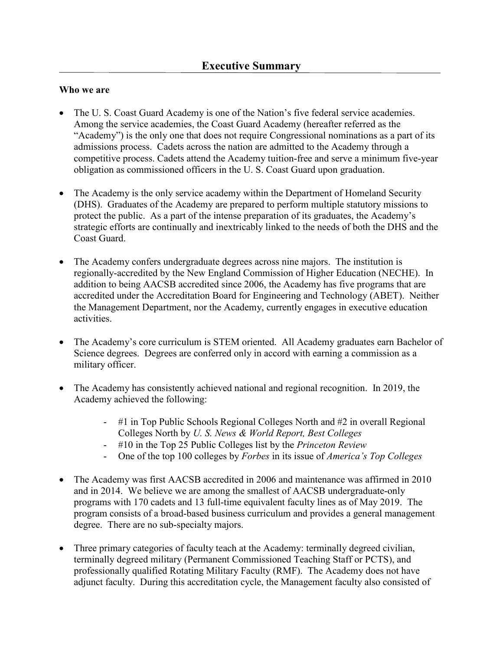### **Who we are**

- • The U. S. Coast Guard Academy is one of the Nation's five federal service academies. Among the service academies, the Coast Guard Academy (hereafter referred as the "Academy") is the only one that does not require Congressional nominations as a part of its admissions process. Cadets across the nation are admitted to the Academy through a competitive process. Cadets attend the Academy tuition-free and serve a minimum five-year obligation as commissioned officers in the U. S. Coast Guard upon graduation.
- The Academy is the only service academy within the Department of Homeland Security (DHS). Graduates of the Academy are prepared to perform multiple statutory missions to protect the public. As a part of the intense preparation of its graduates, the Academy's strategic efforts are continually and inextricably linked to the needs of both the DHS and the Coast Guard.
- The Academy confers undergraduate degrees across nine majors. The institution is regionally-accredited by the New England Commission of Higher Education (NECHE). In addition to being AACSB accredited since 2006, the Academy has five programs that are accredited under the Accreditation Board for Engineering and Technology (ABET). Neither the Management Department, nor the Academy, currently engages in executive education activities.
- • The Academy's core curriculum is STEM oriented. All Academy graduates earn Bachelor of Science degrees. Degrees are conferred only in accord with earning a commission as a military officer.
- • The Academy has consistently achieved national and regional recognition. In 2019, the Academy achieved the following:
	- Colleges North by *U. S. News & World Report, Best Colleges*  - #1 in Top Public Schools Regional Colleges North and #2 in overall Regional
	- #10 in the Top 25 Public Colleges list by the *Princeton Review*
	- One of the top 100 colleges by *Forbes* in its issue of *America's Top Colleges*
- and in 2014. We believe we are among the smallest of AACSB undergraduate-only degree. There are no sub-specialty majors. • The Academy was first AACSB accredited in 2006 and maintenance was affirmed in 2010 programs with 170 cadets and 13 full-time equivalent faculty lines as of May 2019. The program consists of a broad-based business curriculum and provides a general management
- Three primary categories of faculty teach at the Academy: terminally degreed civilian, terminally degreed military (Permanent Commissioned Teaching Staff or PCTS), and professionally qualified Rotating Military Faculty (RMF). The Academy does not have adjunct faculty. During this accreditation cycle, the Management faculty also consisted of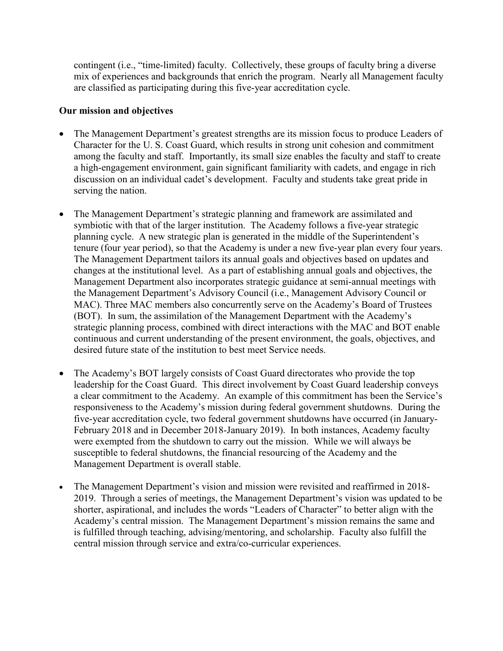contingent (i.e., "time-limited) faculty. Collectively, these groups of faculty bring a diverse mix of experiences and backgrounds that enrich the program. Nearly all Management faculty are classified as participating during this five-year accreditation cycle.

### **Our mission and objectives**

- among the faculty and staff. Importantly, its small size enables the faculty and staff to create • The Management Department's greatest strengths are its mission focus to produce Leaders of Character for the U. S. Coast Guard, which results in strong unit cohesion and commitment a high-engagement environment, gain significant familiarity with cadets, and engage in rich discussion on an individual cadet's development. Faculty and students take great pride in serving the nation.
- tenure (four year period), so that the Academy is under a new five-year plan every four years. (BOT). In sum, the assimilation of the Management Department with the Academy's strategic planning process, combined with direct interactions with the MAC and BOT enable • The Management Department's strategic planning and framework are assimilated and symbiotic with that of the larger institution. The Academy follows a five-year strategic planning cycle. A new strategic plan is generated in the middle of the Superintendent's The Management Department tailors its annual goals and objectives based on updates and changes at the institutional level. As a part of establishing annual goals and objectives, the Management Department also incorporates strategic guidance at semi-annual meetings with the Management Department's Advisory Council (i.e., Management Advisory Council or MAC). Three MAC members also concurrently serve on the Academy's Board of Trustees continuous and current understanding of the present environment, the goals, objectives, and desired future state of the institution to best meet Service needs.
- susceptible to federal shutdowns, the financial resourcing of the Academy and the • The Academy's BOT largely consists of Coast Guard directorates who provide the top leadership for the Coast Guard. This direct involvement by Coast Guard leadership conveys a clear commitment to the Academy. An example of this commitment has been the Service's responsiveness to the Academy's mission during federal government shutdowns. During the five-year accreditation cycle, two federal government shutdowns have occurred (in January-February 2018 and in December 2018-January 2019). In both instances, Academy faculty were exempted from the shutdown to carry out the mission. While we will always be Management Department is overall stable.
- The Management Department's vision and mission were revisited and reaffirmed in 2018-2019. Through a series of meetings, the Management Department's vision was updated to be shorter, aspirational, and includes the words "Leaders of Character" to better align with the Academy's central mission. The Management Department's mission remains the same and is fulfilled through teaching, advising/mentoring, and scholarship. Faculty also fulfill the central mission through service and extra/co-curricular experiences.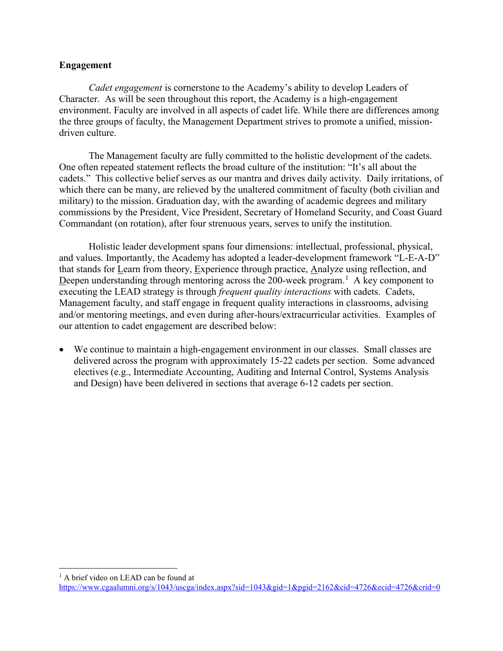### **Engagement**

*Cadet engagement* is cornerstone to the Academy's ability to develop Leaders of Character. As will be seen throughout this report, the Academy is a high-engagement environment. Faculty are involved in all aspects of cadet life. While there are differences among the three groups of faculty, the Management Department strives to promote a unified, missiondriven culture.

The Management faculty are fully committed to the holistic development of the cadets. The Management faculty are fully committed to the holistic development of the cadets. One often repeated statement reflects the broad culture of the institution: "It's all about the cadets." This collective belief serves as our mantra and drives daily activity. Daily irritations, of which there can be many, are relieved by the unaltered commitment of faculty (both civilian and military) to the mission. Graduation day, with the awarding of academic degrees and military commissions by the President, Vice President, Secretary of Homeland Security, and Coast Guard Commandant (on rotation), after four strenuous years, serves to unify the institution.

Deepen understanding through mentoring across the 200-week program.<sup>[1](#page-2-0)</sup> A key component to Holistic leader development spans four dimensions: intellectual, professional, physical, and values. Importantly, the Academy has adopted a leader-development framework "L-E-A-D" that stands for Learn from theory, Experience through practice, Analyze using reflection, and executing the LEAD strategy is through *frequent quality interactions* with cadets. Cadets, Management faculty, and staff engage in frequent quality interactions in classrooms, advising and/or mentoring meetings, and even during after-hours/extracurricular activities. Examples of our attention to cadet engagement are described below:

• We continue to maintain a high-engagement environment in our classes. Small classes are delivered across the program with approximately 15-22 cadets per section. Some advanced electives (e.g., Intermediate Accounting, Auditing and Internal Control, Systems Analysis and Design) have been delivered in sections that average 6-12 cadets per section.

<span id="page-2-0"></span><sup>1</sup> A brief video on LEAD can be found at

-

<https://www.cgaalumni.org/s/1043/uscga/index.aspx?sid=1043&gid=1&pgid=2162&cid=4726&ecid=4726&crid=0>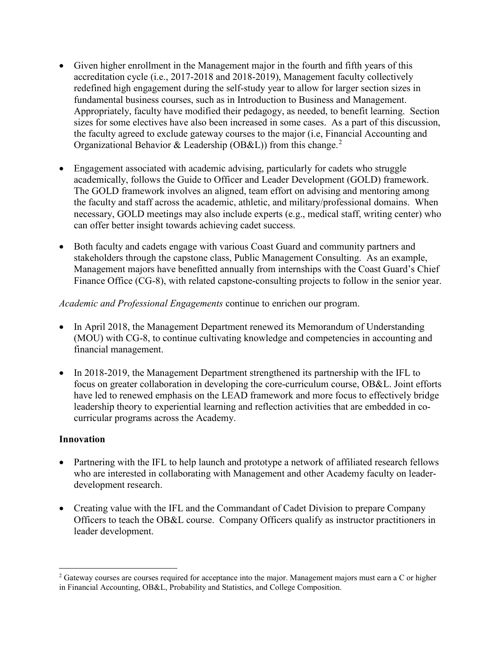- accreditation cycle (i.e., 2017-2018 and 2018-2019), Management faculty collectively sizes for some electives have also been increased in some cases. As a part of this discussion, Organizational Behavior & Leadership (OB&L)) from this change.<sup>[2](#page-3-0)</sup> • Given higher enrollment in the Management major in the fourth and fifth years of this redefined high engagement during the self-study year to allow for larger section sizes in fundamental business courses, such as in Introduction to Business and Management. Appropriately, faculty have modified their pedagogy, as needed, to benefit learning. Section the faculty agreed to exclude gateway courses to the major (i.e, Financial Accounting and
- academically, follows the Guide to Officer and Leader Development (GOLD) framework. The GOLD framework involves an aligned, team effort on advising and mentoring among • Engagement associated with academic advising, particularly for cadets who struggle the faculty and staff across the academic, athletic, and military/professional domains. When necessary, GOLD meetings may also include experts (e.g., medical staff, writing center) who can offer better insight towards achieving cadet success.
- Finance Office (CG-8), with related capstone-consulting projects to follow in the senior year. • Both faculty and cadets engage with various Coast Guard and community partners and stakeholders through the capstone class, Public Management Consulting. As an example, Management majors have benefitted annually from internships with the Coast Guard's Chief

*Academic and Professional Engagements* continue to enrichen our program.

- In April 2018, the Management Department renewed its Memorandum of Understanding (MOU) with CG-8, to continue cultivating knowledge and competencies in accounting and financial management.
- curricular programs across the Academy. • In 2018-2019, the Management Department strengthened its partnership with the IFL to focus on greater collaboration in developing the core-curriculum course, OB&L. Joint efforts have led to renewed emphasis on the LEAD framework and more focus to effectively bridge leadership theory to experiential learning and reflection activities that are embedded in co-

# **Innovation**

 $\overline{a}$ 

- Partnering with the IFL to help launch and prototype a network of affiliated research fellows who are interested in collaborating with Management and other Academy faculty on leaderdevelopment research.
- Creating value with the IFL and the Commandant of Cadet Division to prepare Company Officers to teach the OB&L course. Company Officers qualify as instructor practitioners in leader development.

<span id="page-3-0"></span><sup>&</sup>lt;sup>2</sup> Gateway courses are courses required for acceptance into the major. Management majors must earn a C or higher in Financial Accounting, OB&L, Probability and Statistics, and College Composition.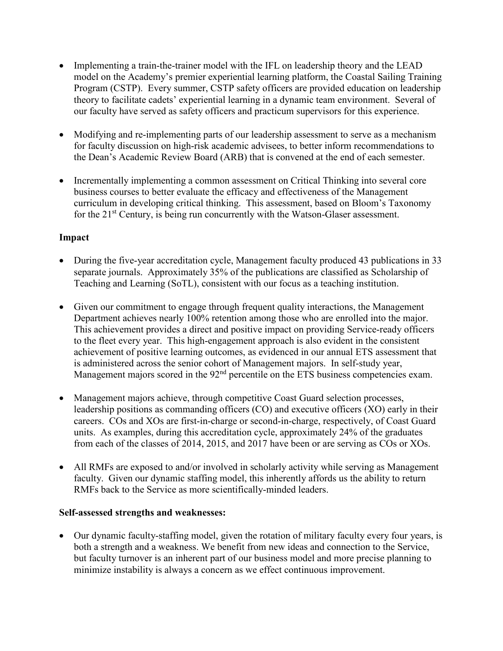- • Implementing a train-the-trainer model with the IFL on leadership theory and the LEAD model on the Academy's premier experiential learning platform, the Coastal Sailing Training Program (CSTP). Every summer, CSTP safety officers are provided education on leadership theory to facilitate cadets' experiential learning in a dynamic team environment. Several of our faculty have served as safety officers and practicum supervisors for this experience.
- Modifying and re-implementing parts of our leadership assessment to serve as a mechanism for faculty discussion on high-risk academic advisees, to better inform recommendations to the Dean's Academic Review Board (ARB) that is convened at the end of each semester.
- Incrementally implementing a common assessment on Critical Thinking into several core business courses to better evaluate the efficacy and effectiveness of the Management curriculum in developing critical thinking. This assessment, based on Bloom's Taxonomy for the 21<sup>st</sup> Century, is being run concurrently with the Watson-Glaser assessment.

# **Impact**

- • During the five-year accreditation cycle, Management faculty produced 43 publications in 33 separate journals. Approximately 35% of the publications are classified as Scholarship of Teaching and Learning (SoTL), consistent with our focus as a teaching institution.
- Given our commitment to engage through frequent quality interactions, the Management Department achieves nearly 100% retention among those who are enrolled into the major. This achievement provides a direct and positive impact on providing Service-ready officers to the fleet every year. This high-engagement approach is also evident in the consistent achievement of positive learning outcomes, as evidenced in our annual ETS assessment that is administered across the senior cohort of Management majors. In self-study year, Management majors scored in the 92<sup>nd</sup> percentile on the ETS business competencies exam.
- Management majors achieve, through competitive Coast Guard selection processes, leadership positions as commanding officers (CO) and executive officers (XO) early in their careers. COs and XOs are first-in-charge or second-in-charge, respectively, of Coast Guard units. As examples, during this accreditation cycle, approximately 24% of the graduates from each of the classes of 2014, 2015, and 2017 have been or are serving as COs or XOs.
- • All RMFs are exposed to and/or involved in scholarly activity while serving as Management faculty. Given our dynamic staffing model, this inherently affords us the ability to return RMFs back to the Service as more scientifically-minded leaders.

# **Self-assessed strengths and weaknesses:**

 • Our dynamic faculty-staffing model, given the rotation of military faculty every four years, is both a strength and a weakness. We benefit from new ideas and connection to the Service, but faculty turnover is an inherent part of our business model and more precise planning to minimize instability is always a concern as we effect continuous improvement.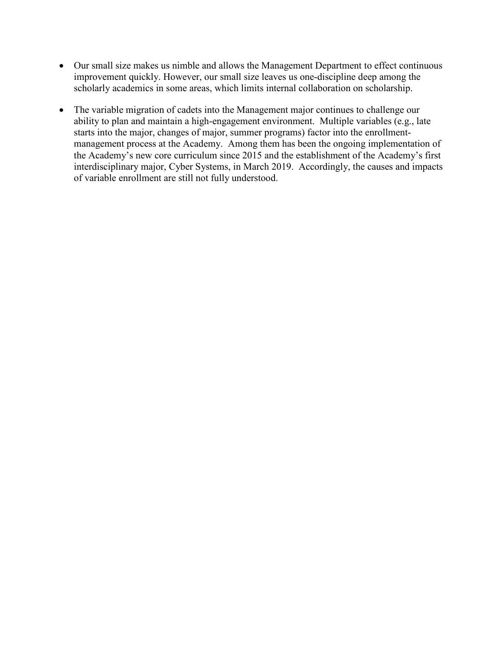- Our small size makes us nimble and allows the Management Department to effect continuous improvement quickly. However, our small size leaves us one-discipline deep among the scholarly academics in some areas, which limits internal collaboration on scholarship.
- The variable migration of cadets into the Management major continues to challenge our ability to plan and maintain a high-engagement environment. Multiple variables (e.g., late starts into the major, changes of major, summer programs) factor into the enrollmentmanagement process at the Academy. Among them has been the ongoing implementation of the Academy's new core curriculum since 2015 and the establishment of the Academy's first interdisciplinary major, Cyber Systems, in March 2019. Accordingly, the causes and impacts of variable enrollment are still not fully understood.